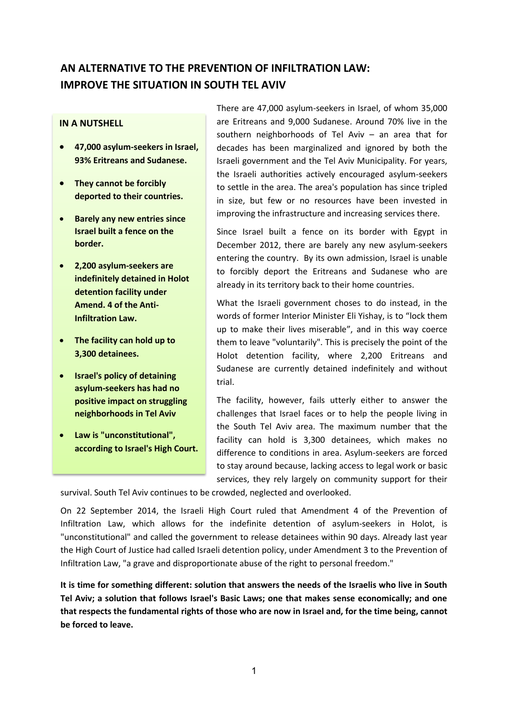## **AN ALTERNATIVE TO THE PREVENTION OF INFILTRATION LAW: IMPROVE THE SITUATION IN SOUTH TEL AVIV**

## **IN A NUTSHELL**

- **47,000 asylum-seekers in Israel, 93% Eritreans and Sudanese.**
- **They cannot be forcibly deported to their countries.**
- **•** Barely any new entries since **Israel built a fence on the border.**
- **2,200 asylum-seekers are indefinitely detained in Holot detention facility under Amend. 4 of the Anti-Infiltration Law.**
- **The facility can hold up to 3,300 detainees.**
- **Israel's policy of detaining asylum-seekers has had no positive impact on struggling neighborhoods in Tel Aviv**
- **Law is "unconstitutional", according to Israel's High Court.**

There are 47,000 asylum-seekers in Israel, of whom 35,000 are Eritreans and 9,000 Sudanese. Around 70% live in the southern neighborhoods of Tel Aviv – an area that for decades has been marginalized and ignored by both the Israeli government and the Tel Aviv Municipality. For years, the Israeli authorities actively encouraged asylum-seekers to settle in the area. The area's population has since tripled in size, but few or no resources have been invested in improving the infrastructure and increasing services there.

Since Israel built a fence on its border with Egypt in December 2012, there are barely any new asylum-seekers entering the country. By its own admission, Israel is unable to forcibly deport the Eritreans and Sudanese who are already in its territory back to their home countries.

What the Israeli government choses to do instead, in the words of former Interior Minister Eli Yishay, is to "lock them up to make their lives miserable", and in this way coerce them to leave "voluntarily". This is precisely the point of the Holot detention facility, where 2,200 Eritreans and Sudanese are currently detained indefinitely and without trial.

The facility, however, fails utterly either to answer the challenges that Israel faces or to help the people living in the South Tel Aviv area. The maximum number that the facility can hold is 3,300 detainees, which makes no difference to conditions in area. Asylum-seekers are forced to stay around because, lacking access to legal work or basic services, they rely largely on community support for their

survival. South Tel Aviv continues to be crowded, neglected and overlooked.

On 22 September 2014, the Israeli High Court ruled that Amendment 4 of the Prevention of Infiltration Law, which allows for the indefinite detention of asylum-seekers in Holot, is "unconstitutional" and called the government to release detainees within 90 days. Already last year the High Court of Justice had called Israeli detention policy, under Amendment 3 to the Prevention of Infiltration Law, "a grave and disproportionate abuse of the right to personal freedom."

**It is time for something different: solution that answers the needs of the Israelis who live in South Tel Aviv; a solution that follows Israel's Basic Laws; one that makes sense economically; and one that respects the fundamental rights of those who are now in Israel and, for the time being, cannot be forced to leave.**